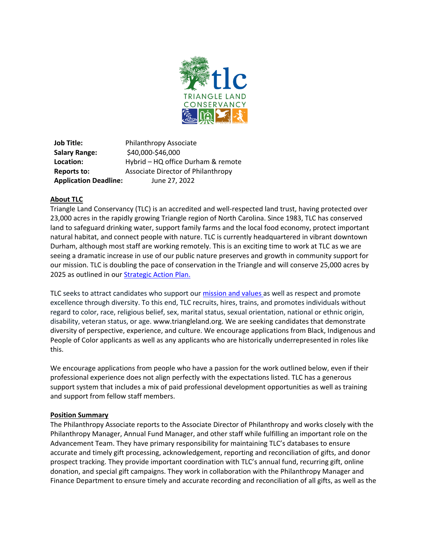

**Job Title:** Philanthropy Associate **Salary Range:** \$40,000-\$46,000 **Location:** Hybrid – HQ office Durham & remote **Reports to:** Associate Director of Philanthropy **Application Deadline:** June 27, 2022

# **About TLC**

Triangle Land Conservancy (TLC) is an accredited and well-respected land trust, having protected over 23,000 acres in the rapidly growing Triangle region of North Carolina. Since 1983, TLC has conserved land to safeguard drinking water, support family farms and the local food economy, protect important natural habitat, and connect people with nature. TLC is currently headquartered in vibrant downtown Durham, although most staff are working remotely. This is an exciting time to work at TLC as we are seeing a dramatic increase in use of our public nature preserves and growth in community support for our mission. TLC is doubling the pace of conservation in the Triangle and will conserve 25,000 acres by 2025 as outlined in our [Strategic Action Plan.](https://issuu.com/triangleland/docs/tlc_2018_sap_web)

TLC seeks to attract candidates who support our [mission and values a](https://www.triangleland.org/about/mission-vision)s well as respect and promote excellence through diversity. To this end, TLC recruits, hires, trains, and promotes individuals without regard to color, race, religious belief, sex, marital status, sexual orientation, national or ethnic origin, disability, veteran status, or age[. www.triangleland.org.](http://www.triangleland.org/) We are seeking candidates that demonstrate diversity of perspective, experience, and culture. We encourage applications from Black, Indigenous and People of Color applicants as well as any applicants who are historically underrepresented in roles like this.

We encourage applications from people who have a passion for the work outlined below, even if their professional experience does not align perfectly with the expectations listed. TLC has a generous support system that includes a mix of paid professional development opportunities as well as training and support from fellow staff members.

#### **Position Summary**

The Philanthropy Associate reports to the Associate Director of Philanthropy and works closely with the Philanthropy Manager, Annual Fund Manager, and other staff while fulfilling an important role on the Advancement Team. They have primary responsibility for maintaining TLC's databases to ensure accurate and timely gift processing, acknowledgement, reporting and reconciliation of gifts, and donor prospect tracking. They provide important coordination with TLC's annual fund, recurring gift, online donation, and special gift campaigns. They work in collaboration with the Philanthropy Manager and Finance Department to ensure timely and accurate recording and reconciliation of all gifts, as well as the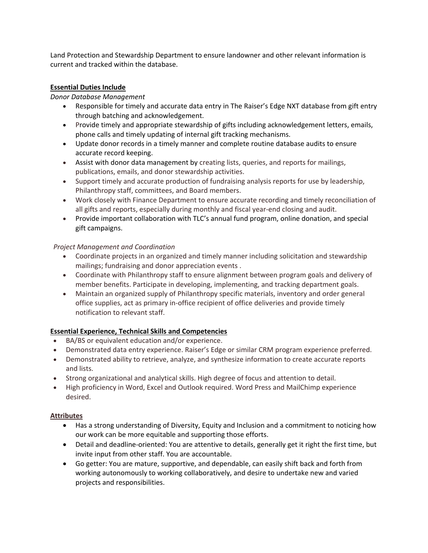Land Protection and Stewardship Department to ensure landowner and other relevant information is current and tracked within the database.

## **Essential Duties Include**

#### *Donor Database Management*

- Responsible for timely and accurate data entry in The Raiser's Edge NXT database from gift entry through batching and acknowledgement.
- Provide timely and appropriate stewardship of gifts including acknowledgement letters, emails, phone calls and timely updating of internal gift tracking mechanisms.
- Update donor records in a timely manner and complete routine database audits to ensure accurate record keeping.
- Assist with donor data management by creating lists, queries, and reports for mailings, publications, emails, and donor stewardship activities.
- Support timely and accurate production of fundraising analysis reports for use by leadership, Philanthropy staff, committees, and Board members.
- Work closely with Finance Department to ensure accurate recording and timely reconciliation of all gifts and reports, especially during monthly and fiscal year-end closing and audit.
- Provide important collaboration with TLC's annual fund program, online donation, and special gift campaigns.

### *Project Management and Coordination*

- Coordinate projects in an organized and timely manner including solicitation and stewardship mailings; fundraising and donor appreciation events .
- Coordinate with Philanthropy staff to ensure alignment between program goals and delivery of member benefits. Participate in developing, implementing, and tracking department goals.
- Maintain an organized supply of Philanthropy specific materials, inventory and order general office supplies, act as primary in-office recipient of office deliveries and provide timely notification to relevant staff.

# **Essential Experience, Technical Skills and Competencies**

- BA/BS or equivalent education and/or experience.
- Demonstrated data entry experience. Raiser's Edge or similar CRM program experience preferred.
- Demonstrated ability to retrieve, analyze, and synthesize information to create accurate reports and lists.
- Strong organizational and analytical skills. High degree of focus and attention to detail.
- High proficiency in Word, Excel and Outlook required. Word Press and MailChimp experience desired.

#### **Attributes**

- Has a strong understanding of Diversity, Equity and Inclusion and a commitment to noticing how our work can be more equitable and supporting those efforts.
- Detail and deadline‐oriented: You are attentive to details, generally get it right the first time, but invite input from other staff. You are accountable.
- Go getter: You are mature, supportive, and dependable, can easily shift back and forth from working autonomously to working collaboratively, and desire to undertake new and varied projects and responsibilities.